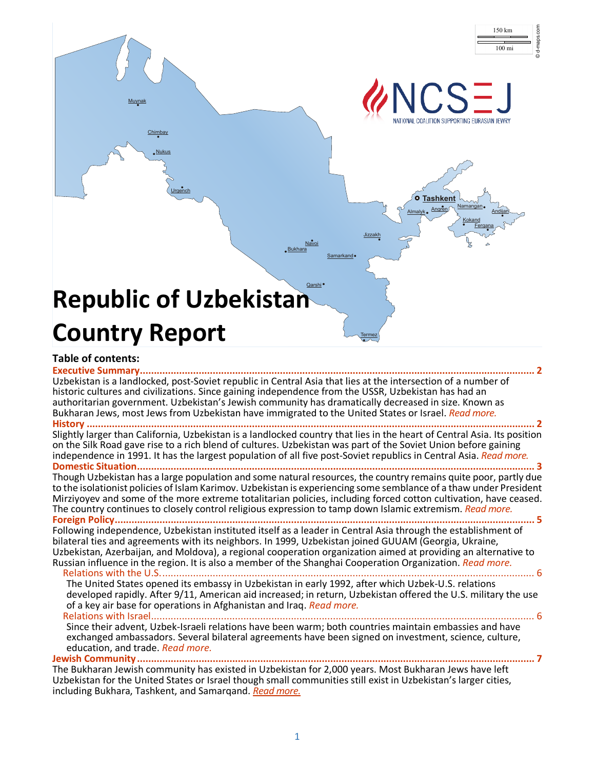

#### **Table of contents:**

<span id="page-0-0"></span>**[Executive Summary.............................................................................................................................................](#page-0-0) 2** Uzbekistan is a landlocked, post-Soviet republic in Central Asia that lies at the intersection of a number of historic cultures and civilizations. Since gaining independence from the USSR, Uzbekistan has had an authoritarian government. Uzbekistan's Jewish community has dramatically decreased in size. Known as Bukharan Jews, most Jews from Uzbekistan have immigrated to the United States or Israel. *[Read more.](#page-0-0)* **History [................................................................................................................................................................](#page-1-0) 2** Slightly larger than California, Uzbekistan is a landlocked country that lies in the heart of Central Asia. Its position on the Silk Road gave rise to a rich blend of cultures. Uzbekistan was part of the Soviet Union before gaining independence in 1991. It has the largest population of all five post-Soviet republics in Central Asia. *[Read more.](#page-1-0)* **[Domestic Situation..............................................................................................................................................](#page-2-0) 3** Though Uzbekistan has a large population and some natural resources, the country remains quite poor, partly due to the isolationist policies of Islam Karimov. Uzbekistan is experiencing some semblance of a thaw under President Mirziyoyev and some of the more extreme totalitarian policies, including forced cotton cultivation, have ceased. The country continues to closely control religious expression to tamp down Islamic extremism. *[Read more.](#page-2-0)* **[Foreign Policy......................................................................................................................................................](#page-4-0) 5** Following independence, Uzbekistan instituted itself as a leader in Central Asia through the establishment of bilateral ties and agreements with its neighbors. In 1999, Uzbekistan joined GUUAM (Georgia, Ukraine, Uzbekistan, Azerbaijan, and Moldova), a regional cooperation organization aimed at providing an alternative to Russian influence in the region. It is also a member of the Shanghai Cooperation Organization. *[Read more.](#page-4-0)* [Relations with the U.S......................................................................................................................................](#page-5-0) 6 The United States opened its embassy in Uzbekistan in early 1992, after which Uzbek-U.S. relations developed rapidly. After 9/11, American aid increased; in return, Uzbekistan offered the U.S. military the use of a key air base for operations in Afghanistan and Iraq. *[Read more.](#page-5-0)* [Relations with Israel.........................................................................................................................................](#page-6-0) 6 Since their advent, Uzbek-Israeli relations have been warm; both countries maintain embassies and have exchanged ambassadors. Several bilateral agreements have been signed on investment, science, culture, education, and trade. *[Read more.](#page-6-0)* **[Jewish Community..............................................................................................................................................](#page-6-1) 7** The Bukharan Jewish community has existed in Uzbekistan for 2,000 years. Most Bukharan Jews have left Uzbekistan for the United States or Israel though small communities still exist in Uzbekistan's larger cities,

including Bukhara, Tashkent, and Samarqand. *[Read more.](#page-6-1)*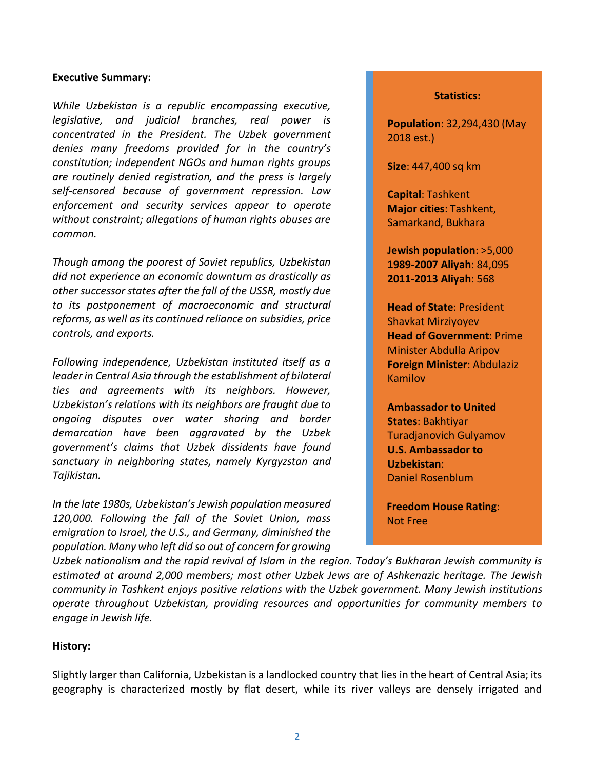#### **Executive Summary:**

*While Uzbekistan is a republic encompassing executive, legislative, and judicial branches, real power is concentrated in the President. The Uzbek government denies many freedoms provided for in the country's constitution; independent NGOs and human rights groups are routinely denied registration, and the press is largely self-censored because of government repression. Law enforcement and security services appear to operate without constraint; allegations of human rights abuses are common.*

*Though among the poorest of Soviet republics, Uzbekistan did not experience an economic downturn as drastically as other successor states after the fall of the USSR, mostly due to its postponement of macroeconomic and structural reforms, as well as its continued reliance on subsidies, price controls, and exports.*

*Following independence, Uzbekistan instituted itself as a leader in Central Asia through the establishment of bilateral ties and agreements with its neighbors. However, Uzbekistan's relations with its neighbors are fraught due to ongoing disputes over water sharing and border demarcation have been aggravated by the Uzbek government's claims that Uzbek dissidents have found sanctuary in neighboring states, namely Kyrgyzstan and Tajikistan.* 

*In the late 1980s, Uzbekistan's Jewish population measured 120,000. Following the fall of the Soviet Union, mass emigration to Israel, the U.S., and Germany, diminished the population. Many who left did so out of concern for growing* 

#### **Statistics:**

**Population**: 32,294,430 (May 2018 est.)

**Size**: 447,400 sq km

**Capital**: Tashkent **Major cities**: Tashkent, Samarkand, Bukhara

**Jewish population**: >5,000 **1989-2007 Aliyah**: 84,095 **2011-2013 Aliyah**: 568

**Head of State**: President Shavkat Mirziyoyev **Head of Government**: Prime Minister Abdulla Aripov **Foreign Minister**: Abdulaziz Kamilov

**Ambassador to United States**: Bakhtiyar Turadjanovich Gulyamov **U.S. Ambassador to Uzbekistan**: Daniel Rosenblum

**Freedom House Rating**: Not Free

*Uzbek nationalism and the rapid revival of Islam in the region. Today's Bukharan Jewish community is estimated at around 2,000 members; most other Uzbek Jews are of Ashkenazic heritage. The Jewish community in Tashkent enjoys positive relations with the Uzbek government. Many Jewish institutions operate throughout Uzbekistan, providing resources and opportunities for community members to engage in Jewish life.* 

### <span id="page-1-0"></span>**History:**

Slightly larger than California, Uzbekistan is a landlocked country that lies in the heart of Central Asia; its geography is characterized mostly by flat desert, while its river valleys are densely irrigated and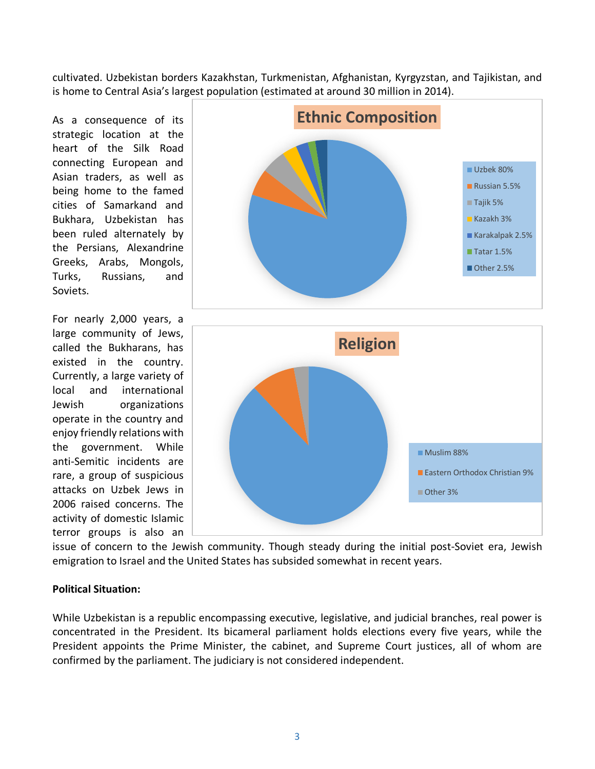cultivated. Uzbekistan borders Kazakhstan, Turkmenistan, Afghanistan, Kyrgyzstan, and Tajikistan, and is home to Central Asia's largest population (estimated at around 30 million in 2014).

As a consequence of its strategic location at the heart of the Silk Road connecting European and Asian traders, as well as being home to the famed cities of Samarkand and Bukhara, Uzbekistan has been ruled alternately by the Persians, Alexandrine Greeks, Arabs, Mongols, Turks, Russians, and Soviets.

For nearly 2,000 years, a large community of Jews, called the Bukharans, has existed in the country. Currently, a large variety of local and international Jewish organizations operate in the country and enjoy friendly relations with the government. While anti-Semitic incidents are rare, a group of suspicious attacks on Uzbek Jews in 2006 raised concerns. The activity of domestic Islamic terror groups is also an



issue of concern to the Jewish community. Though steady during the initial post-Soviet era, Jewish emigration to Israel and the United States has subsided somewhat in recent years.

### <span id="page-2-0"></span>**Political Situation:**

While Uzbekistan is a republic encompassing executive, legislative, and judicial branches, real power is concentrated in the President. Its bicameral parliament holds elections every five years, while the President appoints the Prime Minister, the cabinet, and Supreme Court justices, all of whom are confirmed by the parliament. The judiciary is not considered independent.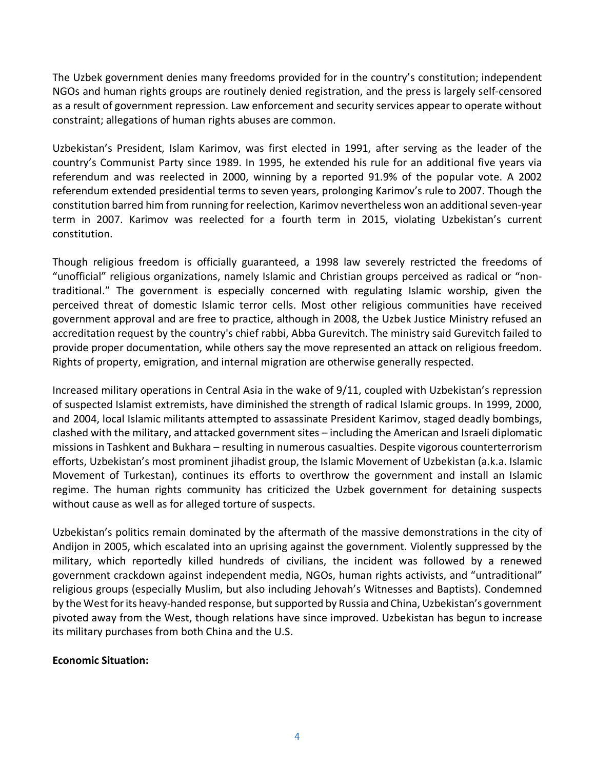The Uzbek government denies many freedoms provided for in the country's constitution; independent NGOs and human rights groups are routinely denied registration, and the press is largely self-censored as a result of government repression. Law enforcement and security services appear to operate without constraint; allegations of human rights abuses are common.

Uzbekistan's President, Islam Karimov, was first elected in 1991, after serving as the leader of the country's Communist Party since 1989. In 1995, he extended his rule for an additional five years via referendum and was reelected in 2000, winning by a reported 91.9% of the popular vote. A 2002 referendum extended presidential terms to seven years, prolonging Karimov's rule to 2007. Though the constitution barred him from running for reelection, Karimov nevertheless won an additionalseven-year term in 2007. Karimov was reelected for a fourth term in 2015, violating Uzbekistan's current constitution.

Though religious freedom is officially guaranteed, a 1998 law severely restricted the freedoms of "unofficial" religious organizations, namely Islamic and Christian groups perceived as radical or "nontraditional." The government is especially concerned with regulating Islamic worship, given the perceived threat of domestic Islamic terror cells. Most other religious communities have received government approval and are free to practice, although in 2008, the Uzbek Justice Ministry refused an accreditation request by the country's chief rabbi, Abba Gurevitch. The ministry said Gurevitch failed to provide proper documentation, while others say the move represented an attack on religious freedom. Rights of property, emigration, and internal migration are otherwise generally respected.

Increased military operations in Central Asia in the wake of 9/11, coupled with Uzbekistan's repression of suspected Islamist extremists, have diminished the strength of radical Islamic groups. In 1999, 2000, and 2004, local Islamic militants attempted to assassinate President Karimov, staged deadly bombings, clashed with the military, and attacked government sites – including the American and Israeli diplomatic missions in Tashkent and Bukhara – resulting in numerous casualties. Despite vigorous counterterrorism efforts, Uzbekistan's most prominent jihadist group, the Islamic Movement of Uzbekistan (a.k.a. Islamic Movement of Turkestan), continues its efforts to overthrow the government and install an Islamic regime. The human rights community has criticized the Uzbek government for detaining suspects without cause as well as for alleged torture of suspects.

Uzbekistan's politics remain dominated by the aftermath of the massive demonstrations in the city of Andijon in 2005, which escalated into an uprising against the government. Violently suppressed by the military, which reportedly killed hundreds of civilians, the incident was followed by a renewed government crackdown against independent media, NGOs, human rights activists, and "untraditional" religious groups (especially Muslim, but also including Jehovah's Witnesses and Baptists). Condemned by the West for its heavy-handed response, but supported by Russia and China, Uzbekistan's government pivoted away from the West, though relations have since improved. Uzbekistan has begun to increase its military purchases from both China and the U.S.

### **Economic Situation:**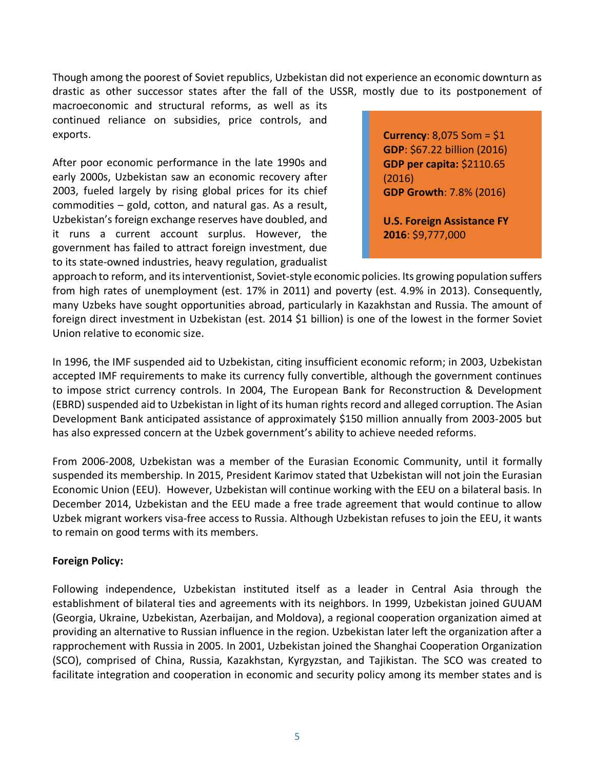Though among the poorest of Soviet republics, Uzbekistan did not experience an economic downturn as drastic as other successor states after the fall of the USSR, mostly due to its postponement of

macroeconomic and structural reforms, as well as its continued reliance on subsidies, price controls, and exports.

After poor economic performance in the late 1990s and early 2000s, Uzbekistan saw an economic recovery after 2003, fueled largely by rising global prices for its chief commodities – gold, cotton, and natural gas. As a result, Uzbekistan's foreign exchange reserves have doubled, and it runs a current account surplus. However, the government has failed to attract foreign investment, due to its state-owned industries, heavy regulation, gradualist **Currency**: 8,075 Som = \$1 **GDP**: \$67.22 billion (2016) **GDP per capita:** \$2110.65 (2016) **GDP Growth**: 7.8% (2016)

**U.S. Foreign Assistance FY 2016**: \$9,777,000

approach to reform, and its interventionist, Soviet-style economic policies. Its growing population suffers from high rates of unemployment (est. 17% in 2011) and poverty (est. 4.9% in 2013). Consequently, many Uzbeks have sought opportunities abroad, particularly in Kazakhstan and Russia. The amount of foreign direct investment in Uzbekistan (est. 2014 \$1 billion) is one of the lowest in the former Soviet Union relative to economic size.

In 1996, the IMF suspended aid to Uzbekistan, citing insufficient economic reform; in 2003, Uzbekistan accepted IMF requirements to make its currency fully convertible, although the government continues to impose strict currency controls. In 2004, The European Bank for Reconstruction & Development (EBRD) suspended aid to Uzbekistan in light of its human rights record and alleged corruption. The Asian Development Bank anticipated assistance of approximately \$150 million annually from 2003-2005 but has also expressed concern at the Uzbek government's ability to achieve needed reforms.

From 2006-2008, Uzbekistan was a member of the Eurasian Economic Community, until it formally suspended its membership. In 2015, President Karimov stated that Uzbekistan will not join the Eurasian Economic Union (EEU). However, Uzbekistan will continue working with the EEU on a bilateral basis. In December 2014, Uzbekistan and the EEU made a free trade agreement that would continue to allow Uzbek migrant workers visa-free access to Russia. Although Uzbekistan refuses to join the EEU, it wants to remain on good terms with its members.

### <span id="page-4-0"></span>**Foreign Policy:**

Following independence, Uzbekistan instituted itself as a leader in Central Asia through the establishment of bilateral ties and agreements with its neighbors. In 1999, Uzbekistan joined GUUAM (Georgia, Ukraine, Uzbekistan, Azerbaijan, and Moldova), a regional cooperation organization aimed at providing an alternative to Russian influence in the region. Uzbekistan later left the organization after a rapprochement with Russia in 2005. In 2001, Uzbekistan joined the Shanghai Cooperation Organization (SCO), comprised of China, Russia, Kazakhstan, Kyrgyzstan, and Tajikistan. The SCO was created to facilitate integration and cooperation in economic and security policy among its member states and is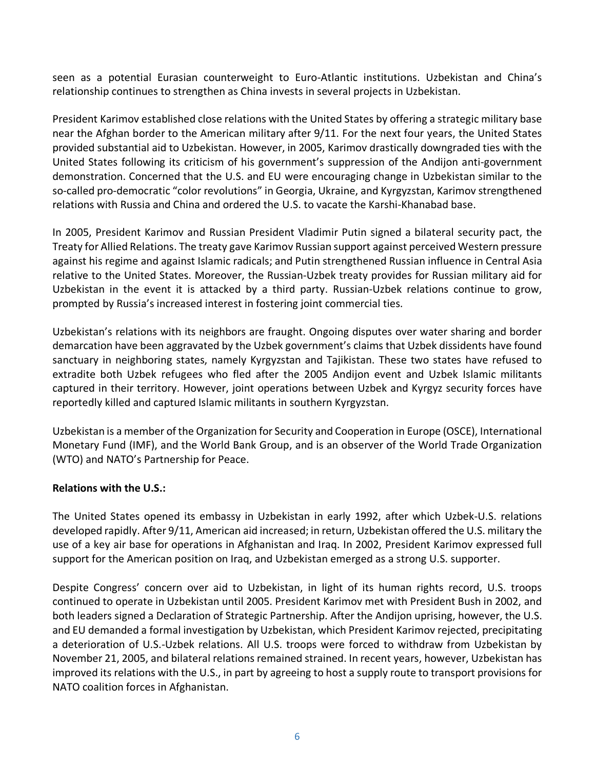seen as a potential Eurasian counterweight to Euro-Atlantic institutions. Uzbekistan and China's relationship continues to strengthen as China invests in several projects in Uzbekistan.

President Karimov established close relations with the United States by offering a strategic military base near the Afghan border to the American military after 9/11. For the next four years, the United States provided substantial aid to Uzbekistan. However, in 2005, Karimov drastically downgraded ties with the United States following its criticism of his government's suppression of the Andijon anti-government demonstration. Concerned that the U.S. and EU were encouraging change in Uzbekistan similar to the so-called pro-democratic "color revolutions" in Georgia, Ukraine, and Kyrgyzstan, Karimov strengthened relations with Russia and China and ordered the U.S. to vacate the Karshi-Khanabad base.

In 2005, President Karimov and Russian President Vladimir Putin signed a bilateral security pact, the Treaty for Allied Relations. The treaty gave Karimov Russian support against perceived Western pressure against his regime and against Islamic radicals; and Putin strengthened Russian influence in Central Asia relative to the United States. Moreover, the Russian-Uzbek treaty provides for Russian military aid for Uzbekistan in the event it is attacked by a third party. Russian-Uzbek relations continue to grow, prompted by Russia's increased interest in fostering joint commercial ties.

Uzbekistan's relations with its neighbors are fraught. Ongoing disputes over water sharing and border demarcation have been aggravated by the Uzbek government's claims that Uzbek dissidents have found sanctuary in neighboring states, namely Kyrgyzstan and Tajikistan. These two states have refused to extradite both Uzbek refugees who fled after the 2005 Andijon event and Uzbek Islamic militants captured in their territory. However, joint operations between Uzbek and Kyrgyz security forces have reportedly killed and captured Islamic militants in southern Kyrgyzstan.

Uzbekistan is a member of the Organization for Security and Cooperation in Europe (OSCE), International Monetary Fund (IMF), and the World Bank Group, and is an observer of the World Trade Organization (WTO) and NATO's Partnership for Peace.

# <span id="page-5-0"></span>**Relations with the U.S.:**

The United States opened its embassy in Uzbekistan in early 1992, after which Uzbek-U.S. relations developed rapidly. After 9/11, American aid increased; in return, Uzbekistan offered the U.S. military the use of a key air base for operations in Afghanistan and Iraq. In 2002, President Karimov expressed full support for the American position on Iraq, and Uzbekistan emerged as a strong U.S. supporter.

Despite Congress' concern over aid to Uzbekistan, in light of its human rights record, U.S. troops continued to operate in Uzbekistan until 2005. President Karimov met with President Bush in 2002, and both leaders signed a Declaration of Strategic Partnership. After the Andijon uprising, however, the U.S. and EU demanded a formal investigation by Uzbekistan, which President Karimov rejected, precipitating a deterioration of U.S.-Uzbek relations. All U.S. troops were forced to withdraw from Uzbekistan by November 21, 2005, and bilateral relations remained strained. In recent years, however, Uzbekistan has improved its relations with the U.S., in part by agreeing to host a supply route to transport provisions for NATO coalition forces in Afghanistan.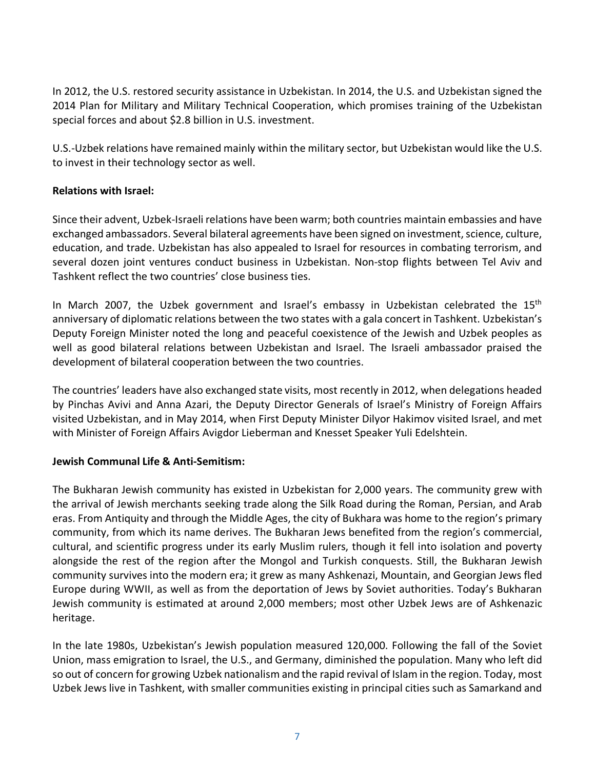In 2012, the U.S. restored security assistance in Uzbekistan. In 2014, the U.S. and Uzbekistan signed the 2014 Plan for Military and Military Technical Cooperation, which promises training of the Uzbekistan special forces and about \$2.8 billion in U.S. investment.

U.S.-Uzbek relations have remained mainly within the military sector, but Uzbekistan would like the U.S. to invest in their technology sector as well.

# <span id="page-6-0"></span>**Relations with Israel:**

Since their advent, Uzbek-Israeli relations have been warm; both countries maintain embassies and have exchanged ambassadors. Several bilateral agreements have been signed on investment, science, culture, education, and trade. Uzbekistan has also appealed to Israel for resources in combating terrorism, and several dozen joint ventures conduct business in Uzbekistan. Non-stop flights between Tel Aviv and Tashkent reflect the two countries' close business ties.

In March 2007, the Uzbek government and Israel's embassy in Uzbekistan celebrated the 15<sup>th</sup> anniversary of diplomatic relations between the two states with a gala concert in Tashkent. Uzbekistan's Deputy Foreign Minister noted the long and peaceful coexistence of the Jewish and Uzbek peoples as well as good bilateral relations between Uzbekistan and Israel. The Israeli ambassador praised the development of bilateral cooperation between the two countries.

The countries' leaders have also exchanged state visits, most recently in 2012, when delegations headed by Pinchas Avivi and Anna Azari, the Deputy Director Generals of Israel's Ministry of Foreign Affairs visited Uzbekistan, and in May 2014, when First Deputy Minister Dilyor Hakimov visited Israel, and met with Minister of Foreign Affairs Avigdor Lieberman and Knesset Speaker Yuli Edelshtein.

# <span id="page-6-1"></span>**Jewish Communal Life & Anti-Semitism:**

The Bukharan Jewish community has existed in Uzbekistan for 2,000 years. The community grew with the arrival of Jewish merchants seeking trade along the Silk Road during the Roman, Persian, and Arab eras. From Antiquity and through the Middle Ages, the city of Bukhara was home to the region's primary community, from which its name derives. The Bukharan Jews benefited from the region's commercial, cultural, and scientific progress under its early Muslim rulers, though it fell into isolation and poverty alongside the rest of the region after the Mongol and Turkish conquests. Still, the Bukharan Jewish community survives into the modern era; it grew as many Ashkenazi, Mountain, and Georgian Jews fled Europe during WWII, as well as from the deportation of Jews by Soviet authorities. Today's Bukharan Jewish community is estimated at around 2,000 members; most other Uzbek Jews are of Ashkenazic heritage.

In the late 1980s, Uzbekistan's Jewish population measured 120,000. Following the fall of the Soviet Union, mass emigration to Israel, the U.S., and Germany, diminished the population. Many who left did so out of concern for growing Uzbek nationalism and the rapid revival of Islam in the region. Today, most Uzbek Jews live in Tashkent, with smaller communities existing in principal cities such as Samarkand and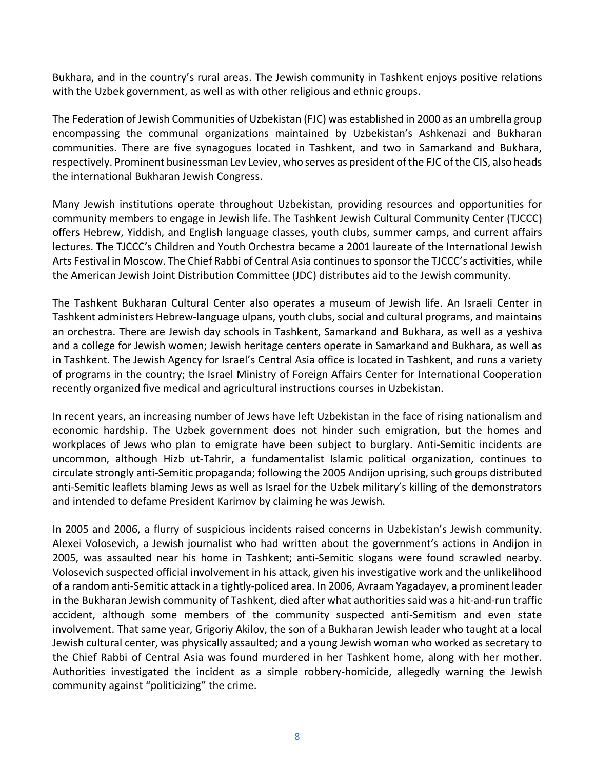Bukhara, and in the country's rural areas. The Jewish community in Tashkent enjoys positive relations with the Uzbek government, as well as with other religious and ethnic groups.

The Federation of Jewish Communities of Uzbekistan (FJC) was established in 2000 as an umbrella group encompassing the communal organizations maintained by Uzbekistan's Ashkenazi and Bukharan communities. There are five synagogues located in Tashkent, and two in Samarkand and Bukhara, respectively. Prominent businessman Lev Leviev, who serves as president of the FJC of the CIS, also heads the international Bukharan Jewish Congress.

Many Jewish institutions operate throughout Uzbekistan, providing resources and opportunities for community members to engage in Jewish life. The Tashkent Jewish Cultural Community Center (TJCCC) offers Hebrew, Yiddish, and English language classes, youth clubs, summer camps, and current affairs lectures. The TJCCC's Children and Youth Orchestra became a 2001 laureate of the International Jewish Arts Festival in Moscow. The Chief Rabbi of Central Asia continues to sponsor the TJCCC's activities, while the American Jewish Joint Distribution Committee (JDC) distributes aid to the Jewish community.

The Tashkent Bukharan Cultural Center also operates a museum of Jewish life. An Israeli Center in Tashkent administers Hebrew-language ulpans, youth clubs, social and cultural programs, and maintains an orchestra. There are Jewish day schools in Tashkent, Samarkand and Bukhara, as well as a yeshiva and a college for Jewish women; Jewish heritage centers operate in Samarkand and Bukhara, as well as in Tashkent. The Jewish Agency for Israel's Central Asia office is located in Tashkent, and runs a variety of programs in the country; the Israel Ministry of Foreign Affairs Center for International Cooperation recently organized five medical and agricultural instructions courses in Uzbekistan.

In recent years, an increasing number of Jews have left Uzbekistan in the face of rising nationalism and economic hardship. The Uzbek government does not hinder such emigration, but the homes and workplaces of Jews who plan to emigrate have been subject to burglary. Anti-Semitic incidents are uncommon, although Hizb ut-Tahrir, a fundamentalist Islamic political organization, continues to circulate strongly anti-Semitic propaganda; following the 2005 Andijon uprising, such groups distributed anti-Semitic leaflets blaming Jews as well as Israel for the Uzbek military's killing of the demonstrators and intended to defame President Karimov by claiming he was Jewish.

In 2005 and 2006, a flurry of suspicious incidents raised concerns in Uzbekistan's Jewish community. Alexei Volosevich, a Jewish journalist who had written about the government's actions in Andijon in 2005, was assaulted near his home in Tashkent; anti-Semitic slogans were found scrawled nearby. Volosevich suspected official involvement in his attack, given his investigative work and the unlikelihood of a random anti-Semitic attack in a tightly-policed area. In 2006, Avraam Yagadayev, a prominent leader in the Bukharan Jewish community of Tashkent, died after what authorities said was a hit-and-run traffic accident, although some members of the community suspected anti-Semitism and even state involvement. That same year, Grigoriy Akilov, the son of a Bukharan Jewish leader who taught at a local Jewish cultural center, was physically assaulted; and a young Jewish woman who worked as secretary to the Chief Rabbi of Central Asia was found murdered in her Tashkent home, along with her mother. Authorities investigated the incident as a simple robbery-homicide, allegedly warning the Jewish community against "politicizing" the crime.